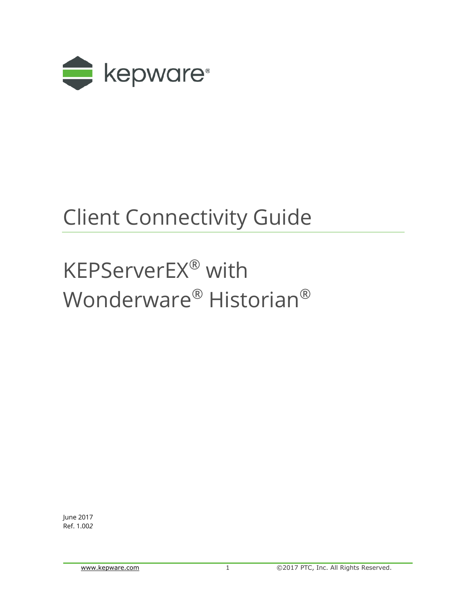

## Client Connectivity Guide

# KEPServerEX® with Wonderware® Historian®

June 2017 Ref. 1.00*2*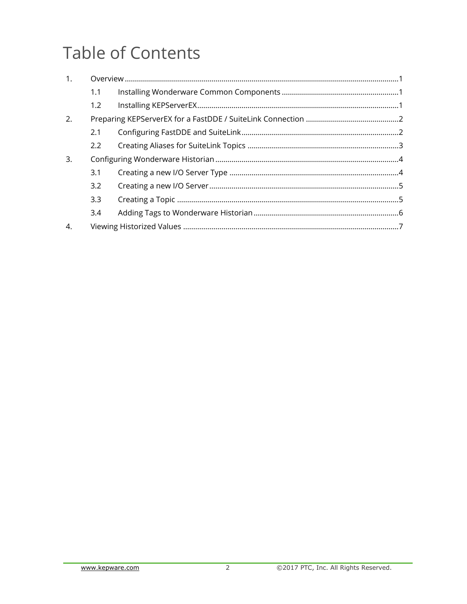## **Table of Contents**

| 1. |     |  |  |
|----|-----|--|--|
|    | 1.1 |  |  |
|    | 1.2 |  |  |
| 2. |     |  |  |
|    | 2.1 |  |  |
|    | 2.2 |  |  |
| 3. |     |  |  |
|    | 3.1 |  |  |
|    | 3.2 |  |  |
|    | 3.3 |  |  |
|    | 3.4 |  |  |
| 4. |     |  |  |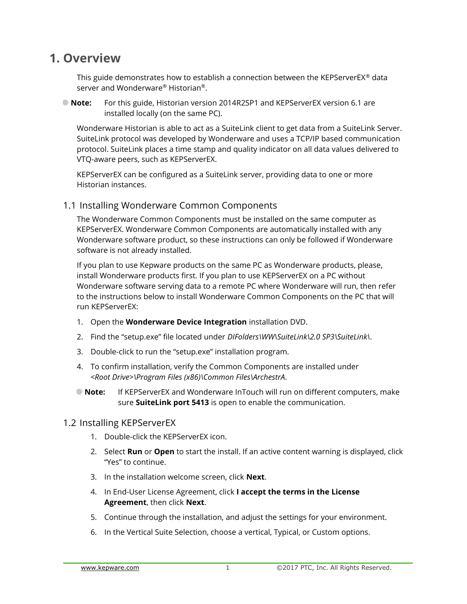### <span id="page-2-0"></span>**1. Overview**

This guide demonstrates how to establish a connection between the KEPServerEX® data server and Wonderware® Historian®.

**Note:** For this guide, Historian version 2014R2SP1 and KEPServerEX version 6.1 are installed locally (on the same PC).

Wonderware Historian is able to act as a SuiteLink client to get data from a SuiteLink Server. SuiteLink protocol was developed by Wonderware and uses a TCP/IP based communication protocol. SuiteLink places a time stamp and quality indicator on all data values delivered to VTQ-aware peers, such as KEPServerEX.

KEPServerEX can be configured as a SuiteLink server, providing data to one or more Historian instances.

#### <span id="page-2-1"></span>1.1 Installing Wonderware Common Components

The Wonderware Common Components must be installed on the same computer as KEPServerEX. Wonderware Common Components are automatically installed with any Wonderware software product, so these instructions can only be followed if Wonderware software is not already installed.

If you plan to use Kepware products on the same PC as Wonderware products, please, install Wonderware products first. If you plan to use KEPServerEX on a PC without Wonderware software serving data to a remote PC where Wonderware will run, then refer to the instructions below to install Wonderware Common Components on the PC that will run KEPServerEX:

- 1. Open the **Wonderware Device Integration** installation DVD.
- 2. Find the "setup.exe" file located under *DIFolders\WW\SuiteLink\2.0 SP3\SuiteLink\*.
- 3. Double-click to run the "setup.exe" installation program.
- 4. To confirm installation, verify the Common Components are installed under *<Root Drive>\Program Files (x86)\Common Files\ArchestrA*.
- **Note:** If KEPServerEX and Wonderware InTouch will run on different computers, make sure **SuiteLink port 5413** is open to enable the communication.

#### <span id="page-2-2"></span>1.2 Installing KEPServerEX

- 1. Double-click the KEPServerEX icon.
- 2. Select **Run** or **Open** to start the install. If an active content warning is displayed, click "Yes" to continue.
- 3. In the installation welcome screen, click **Next**.
- 4. In End-User License Agreement, click **I accept the terms in the License Agreement**, then click **Next**.
- 5. Continue through the installation, and adjust the settings for your environment.
- 6. In the Vertical Suite Selection, choose a vertical, Typical, or Custom options.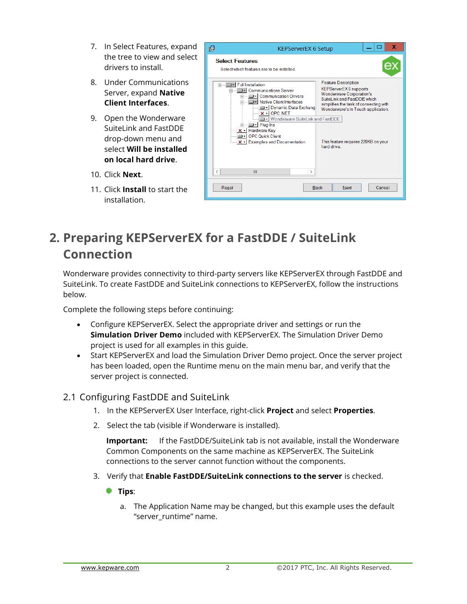- 7. In Select Features, expand the tree to view and select drivers to install.
- 8. Under Communications Server, expand **Native Client Interfaces**.
- 9. Open the Wonderware SuiteLink and FastDDE drop-down menu and select **Will be installed on local hard drive**.
- 10. Click **Next**.
- 11. Click **Install** to start the installation.

|   | <b>Select Features</b><br>Select which features are to be installed.                                                                                                                                                                                                                                                                                                                                                                                                                                                                                                  |
|---|-----------------------------------------------------------------------------------------------------------------------------------------------------------------------------------------------------------------------------------------------------------------------------------------------------------------------------------------------------------------------------------------------------------------------------------------------------------------------------------------------------------------------------------------------------------------------|
|   | <b>Feature Description</b><br><b>Full Installation</b><br><b>KEPServerEX6</b> supports<br>□ - Communications Server<br><b>Wonderware Corporation's</b><br><b>Communication Drivers</b><br>Suitel ink and FastDDF which<br>Native Client Interfaces<br>simplifies the task of connecting with<br>Dynamic Data Exchang<br>Wonderware's In Touch application.<br>$x -$ OPC NET<br>Wonderware SuiteLink and FastDDE<br>D - Plug-Ins<br>X - Hardware Key<br><b>OPC Quick Client</b><br>X → Examples and Documentation<br>This feature requires 220KB on your<br>hard drive |
| ₹ | Ш<br>⋋                                                                                                                                                                                                                                                                                                                                                                                                                                                                                                                                                                |

## <span id="page-3-0"></span>**2. Preparing KEPServerEX for a FastDDE / SuiteLink Connection**

Wonderware provides connectivity to third-party servers like KEPServerEX through FastDDE and SuiteLink. To create FastDDE and SuiteLink connections to KEPServerEX, follow the instructions below.

Complete the following steps before continuing:

- Configure KEPServerEX. Select the appropriate driver and settings or run the **Simulation Driver Demo** included with KEPServerEX. The Simulation Driver Demo project is used for all examples in this guide.
- Start KEPServerEX and load the Simulation Driver Demo project. Once the server project has been loaded, open the Runtime menu on the main menu bar, and verify that the server project is connected.

#### <span id="page-3-1"></span>2.1 Configuring FastDDE and SuiteLink

- 1. In the KEPServerEX User Interface, right-click **Project** and select **Properties**.
- 2. Select the tab (visible if Wonderware is installed).

**Important:** If the FastDDE/SuiteLink tab is not available, install the Wonderware Common Components on the same machine as KEPServerEX. The SuiteLink connections to the server cannot function without the components.

- 3. Verify that **Enable FastDDE/SuiteLink connections to the server** is checked.
	- **Tips**:
		- a. The Application Name may be changed, but this example uses the default "server runtime" name.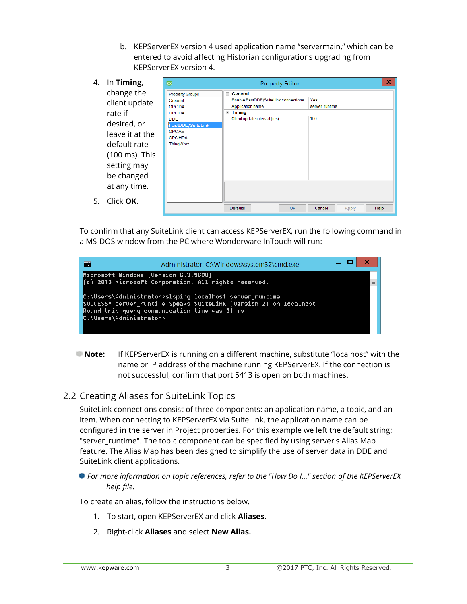b. KEPServerEX version 4 used application name "servermain," which can be entered to avoid affecting Historian configurations upgrading from KEPServerEX version 4.

| 4. | In Timing,      | ex                              | x<br><b>Property Editor</b>                                |
|----|-----------------|---------------------------------|------------------------------------------------------------|
|    | change the      | <b>Property Groups</b>          | General<br>$=$                                             |
|    | client update   | General                         | Enable FastDDE/SuiteLink connections<br>Yes                |
|    |                 | <b>OPC DA</b>                   | <b>Application name</b><br>server_runtime                  |
|    | rate if         | <b>OPC UA</b>                   | <b>Timing</b><br>$=$<br>100<br>Client update interval (ms) |
|    | desired, or     | <b>DDE</b><br>FastDDE/SuiteLink |                                                            |
|    | leave it at the | <b>OPCAE</b><br><b>OPC HDA</b>  |                                                            |
|    | default rate    | ThingWorx                       |                                                            |
|    | (100 ms). This  |                                 |                                                            |
|    | setting may     |                                 |                                                            |
|    | be changed      |                                 |                                                            |
|    | at any time.    |                                 |                                                            |
| 5. | Click OK.       |                                 |                                                            |
|    |                 |                                 | <b>OK</b><br><b>Defaults</b><br>Help<br>Cancel<br>Apply    |

To confirm that any SuiteLink client can access KEPServerEX, run the following command in a MS-DOS window from the PC where Wonderware InTouch will run:

| $\blacksquare$          | Administrator: C:\Windows\system32\cmd.exe                                                                                                                                    |   |
|-------------------------|-------------------------------------------------------------------------------------------------------------------------------------------------------------------------------|---|
|                         | Microsoft Windows [Uersion 6.3.9600]<br>$(c)$ 2013 Microsoft Corporation. All rights reserved.                                                                                | Ξ |
| C:\Users\Administrator> | C:\Users\Administrator>slsping localhost server_runtime<br>SUCCESS! server runtime Speaks SuiteLink (Version 2) on localhost<br>Round trip query communication time was 31 ms |   |

**Note:** If KEPServerEX is running on a different machine, substitute "localhost" with the name or IP address of the machine running KEPServerEX. If the connection is not successful, confirm that port 5413 is open on both machines.

#### <span id="page-4-0"></span>2.2 Creating Aliases for SuiteLink Topics

SuiteLink connections consist of three components: an application name, a topic, and an item. When connecting to KEPServerEX via SuiteLink, the application name can be configured in the server in Project properties. For this example we left the default string: "server\_runtime". The topic component can be specified by using server's Alias Map feature. The Alias Map has been designed to simplify the use of server data in DDE and SuiteLink client applications.

#### *For more information on topic references, refer to the "How Do I…" section of the KEPServerEX help file.*

To create an alias, follow the instructions below.

- 1. To start, open KEPServerEX and click **Aliases**.
- 2. Right-click **Aliases** and select **New Alias.**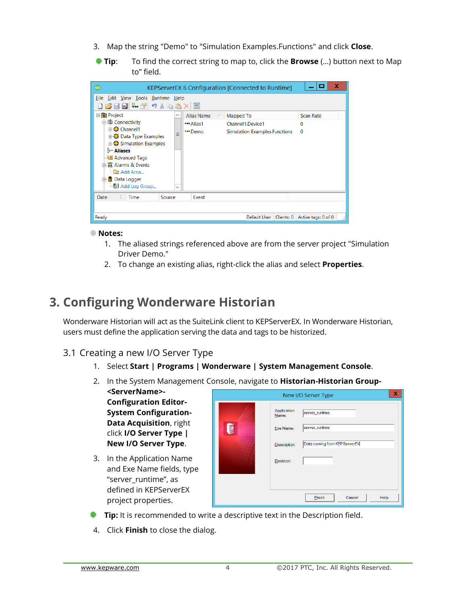- 3. Map the string "Demo" to "Simulation Examples.Functions" and click **Close**.
- **Tip**: To find the correct string to map to, click the **Browse** (…) button next to Map to" field.

| ex                                                                                                                                                                             |                          |                   | KEPServerEX 6 Configuration [Connected to Runtime] |            | е                   | x |
|--------------------------------------------------------------------------------------------------------------------------------------------------------------------------------|--------------------------|-------------------|----------------------------------------------------|------------|---------------------|---|
| File Edit View Tools Runtime Help<br>16 FR 5 T 9 1 B 2 X<br>$\overline{\text{BC}}$                                                                                             |                          |                   |                                                    |            |                     |   |
| <b>E</b> Project                                                                                                                                                               | ∧                        | <b>Alias Name</b> | Mapped To                                          |            | <b>Scan Rate</b>    |   |
| 自 (iii) Connectivity                                                                                                                                                           |                          | <b>↔ Alias1</b>   | Channel1.Device1                                   |            | 0                   |   |
| 由载 Data Type Examples<br>由载 Simulation Examples<br>ీ Aliases<br><b>Advanced Tags</b><br>白公 Alarms & Events<br><b>R</b> Add Area<br>Data Logger<br>E-<br><b>b</b> Add Log Group | $\equiv$<br>$\checkmark$ | <b>↔</b> Demo     | Simulation Examples.Functions                      |            | $\Omega$            |   |
| Date<br>Time                                                                                                                                                                   | Source                   | Event             |                                                    |            |                     |   |
|                                                                                                                                                                                |                          |                   |                                                    |            |                     |   |
| Ready                                                                                                                                                                          |                          |                   | Default User                                       | Clients: 0 | Active tags: 0 of 0 | A |

#### **Notes:**

- 1. The aliased strings referenced above are from the server project "Simulation Driver Demo."
- 2. To change an existing alias, right-click the alias and select **Properties**.

## <span id="page-5-0"></span>**3. Configuring Wonderware Historian**

Wonderware Historian will act as the SuiteLink client to KEPServerEX. In Wonderware Historian, users must define the application serving the data and tags to be historized.

#### <span id="page-5-1"></span>3.1 Creating a new I/O Server Type

- 1. Select **Start | Programs | Wonderware | System Management Console**.
- 2. In the System Management Console, navigate to **Historian-Historian Group-**

**<ServerName>- Configuration Editor-System Configuration-Data Acquisition**, right click **I/O Server Type | New I/O Server Type**.

3. In the Application Name and Exe Name fields, type "server\_runtime", as defined in KEPServerEX project properties.

|             |                                   | x<br>New I/O Server Type         |
|-------------|-----------------------------------|----------------------------------|
| $\sqrt{10}$ | Application<br>Name:<br>Exe Name: | server_runtime<br>server_runtime |
|             | Description:                      | Data coming from KEPServerEX     |
|             | Revision:                         |                                  |
|             |                                   |                                  |
|             |                                   | Einish<br>Cancel<br>Help         |

- **Tip:** It is recommended to write a descriptive text in the Description field.
- 4. Click **Finish** to close the dialog.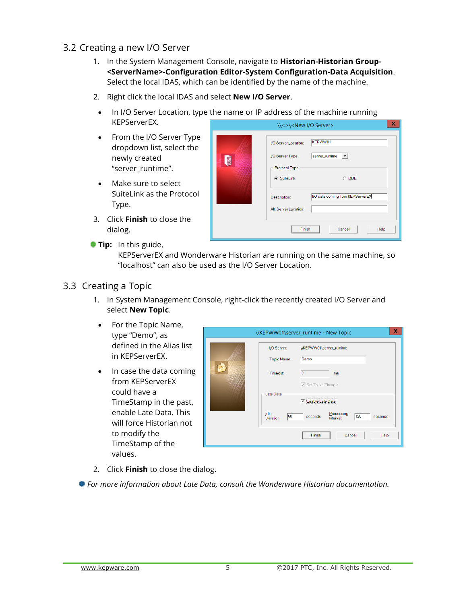- <span id="page-6-0"></span>3.2 Creating a new I/O Server
	- 1. In the System Management Console, navigate to **Historian-Historian Group- <ServerName>-Configuration Editor-System Configuration-Data Acquisition**. Select the local IDAS, which can be identified by the name of the machine.
	- 2. Right click the local IDAS and select **New I/O Server**.
	- In I/O Server Location, type the name or IP address of the machine running KEPServerEX.
	- From the I/O Server Type dropdown list, select the newly created "server\_runtime".
	- Make sure to select SuiteLink as the Protocol Type.
	- 3. Click **Finish** to close the dialog.
	- **Tip:** In this guide,

KEPServerEX and Wonderware Historian are running on the same machine, so "localhost" can also be used as the I/O Server Location.

#### <span id="page-6-1"></span>3.3 Creating a Topic

- 1. In System Management Console, right-click the recently created I/O Server and select **New Topic**.
- For the Topic Name, type "Demo", as defined in the Alias list in KEPServerEX.
- In case the data coming from KEPServerEX could have a TimeStamp in the past, enable Late Data. This will force Historian not to modify the TimeStamp of the values.

| I/O Server:                   | \\KEPWW01\server_runtime<br>Demo                     |
|-------------------------------|------------------------------------------------------|
| Topic Name:<br><b>Timeout</b> | 10<br>ms                                             |
| Late Data                     | ☑ Set To No Timeout<br>Enable Late Data<br>⊽         |
| Idle<br>60<br>Duration:       | Processing<br>120<br>seconds<br>seconds<br>Interval: |
|                               | Einish<br>Help<br>Cancel                             |

2. Click **Finish** to close the dialog.

<span id="page-6-2"></span>*For more information about Late Data, consult the Wonderware Historian documentation.*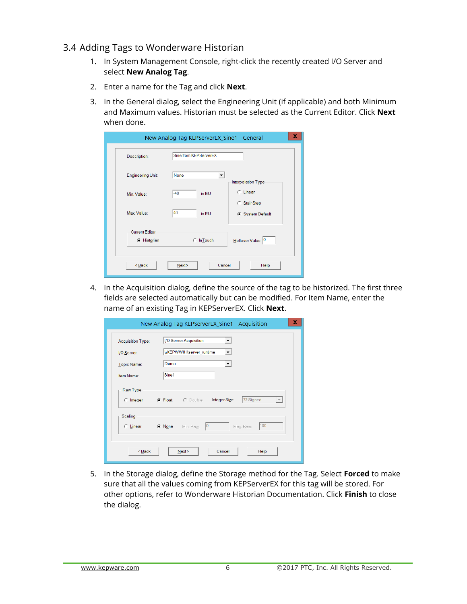#### 3.4 Adding Tags to Wonderware Historian

- 1. In System Management Console, right-click the recently created I/O Server and select **New Analog Tag**.
- 2. Enter a name for the Tag and click **Next**.
- 3. In the General dialog, select the Engineering Unit (if applicable) and both Minimum and Maximum values. Historian must be selected as the Current Editor. Click **Next** when done.

|                                                            | New Analog Tag KEPServerEX_Sine1 - General | x                            |
|------------------------------------------------------------|--------------------------------------------|------------------------------|
| Description:                                               | Sine from KEPServerEX                      |                              |
| <b>Engineering Unit</b>                                    | None<br>$\overline{\phantom{a}}$           | Interpolation Type           |
| Min. Value:                                                | $-40$<br>in EU                             | <b>C</b> Linear              |
| Max. Value:                                                | 40<br>in EU                                | Stair Step<br>System Default |
| <b>Current Editor</b><br><b>E</b> Historian                | $\bigcirc$ In Touch                        | Rollover Value: 0            |
| <back< th=""><th>Cancel<br/>Next</th><th>Help</th></back<> | Cancel<br>Next                             | Help                         |

4. In the Acquisition dialog, define the source of the tag to be historized. The first three fields are selected automatically but can be modified. For Item Name, enter the name of an existing Tag in KEPServerEX. Click **Next**.

|                                                                 | New Analog Tag KEPServerEX Sine1 - Acquisition                                         | x |
|-----------------------------------------------------------------|----------------------------------------------------------------------------------------|---|
| <b>Acquisition Type:</b>                                        | 1/0 Server Acquisition                                                                 |   |
| I/O Server:                                                     | \\KEPWW01\server_runtime<br>▼                                                          |   |
| Topic Name:                                                     | Demo                                                                                   |   |
| Item Name:                                                      | Sine1                                                                                  |   |
| Raw Type                                                        |                                                                                        |   |
| $\bigcirc$ Integer                                              | 32 Signed<br>Integer Size:<br>C Eloat<br>$\bigcirc$ Double<br>$\overline{\phantom{0}}$ |   |
| <b>Scaling</b>                                                  |                                                                                        |   |
| C Linear                                                        | 100<br> 0 <br>$\subseteq$ None<br>Min. Raw:<br>Max. Raw:                               |   |
|                                                                 |                                                                                        |   |
| <back< td=""><td>Cancel<br/>Help<br/>Next</td><td></td></back<> | Cancel<br>Help<br>Next                                                                 |   |

5. In the Storage dialog, define the Storage method for the Tag. Select **Forced** to make sure that all the values coming from KEPServerEX for this tag will be stored. For other options, refer to Wonderware Historian Documentation. Click **Finish** to close the dialog.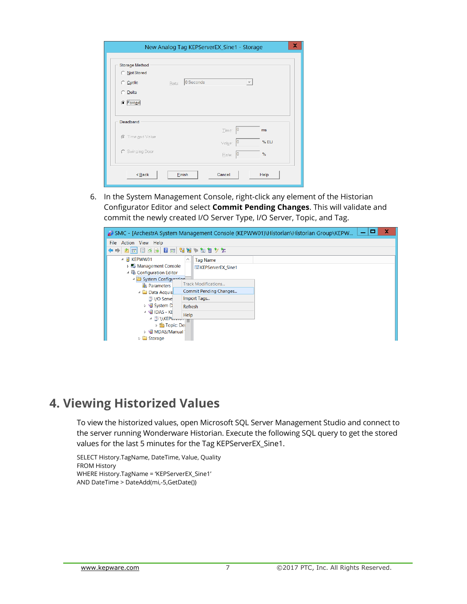|                                       | New Analog Tag KEPServerEX_Sine1 - Storage |                          |      |
|---------------------------------------|--------------------------------------------|--------------------------|------|
| <b>Storage Method</b><br>◯ Not Stored |                                            |                          |      |
| C Cyclic                              | 0 Seconds<br>Rate:                         | $\overline{\phantom{m}}$ |      |
| <b>Delta</b>                          |                                            |                          |      |
| C Forced                              |                                            |                          |      |
| Deadband                              |                                            | 0<br>Time:               | ms   |
| Time and Value                        |                                            | IC<br>Value:             | %EU  |
| C Swinging Door                       |                                            | 10<br>Rate:              | %    |
| $Back$                                | Einish<br>Cancel                           |                          | Help |

6. In the System Management Console, right-click any element of the Historian Configurator Editor and select **Commit Pending Changes**. This will validate and commit the newly created I/O Server Type, I/O Server, Topic, and Tag.



## <span id="page-8-0"></span>**4. Viewing Historized Values**

To view the historized values, open Microsoft SQL Server Management Studio and connect to the server running Wonderware Historian. Execute the following SQL query to get the stored values for the last 5 minutes for the Tag KEPServerEX\_Sine1.

SELECT History.TagName, DateTime, Value, Quality FROM History WHERE History.TagName = 'KEPServerEX\_Sine1' AND DateTime > DateAdd(mi,-5,GetDate())